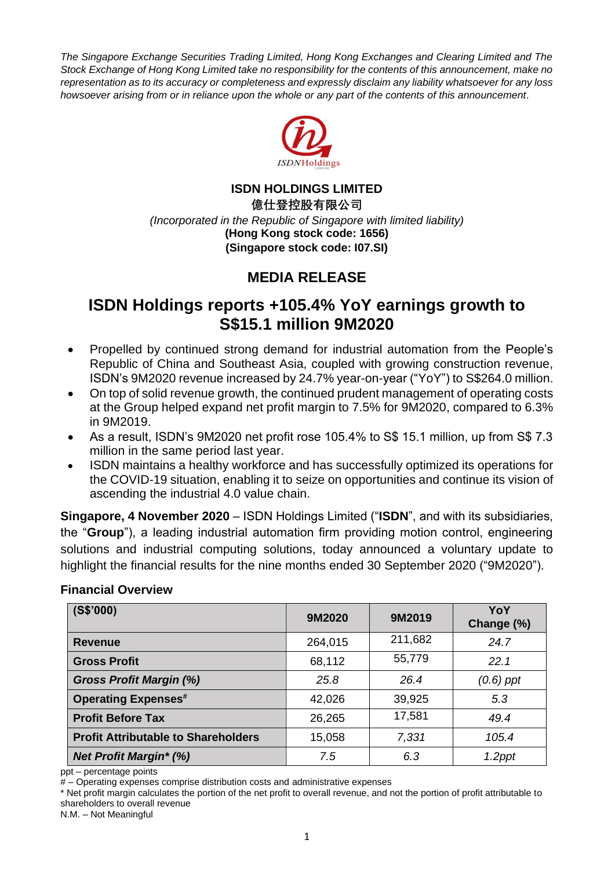*The Singapore Exchange Securities Trading Limited, Hong Kong Exchanges and Clearing Limited and The Stock Exchange of Hong Kong Limited take no responsibility for the contents of this announcement, make no representation as to its accuracy or completeness and expressly disclaim any liability whatsoever for any loss howsoever arising from or in reliance upon the whole or any part of the contents of this announcement.*



### **ISDN HOLDINGS LIMITED**

**億仕登控股有限公司** *(Incorporated in the Republic of Singapore with limited liability)* **(Hong Kong stock code: 1656) (Singapore stock code: I07.SI)**

## **MEDIA RELEASE**

# **ISDN Holdings reports +105.4% YoY earnings growth to S\$15.1 million 9M2020**

- Propelled by continued strong demand for industrial automation from the People's Republic of China and Southeast Asia, coupled with growing construction revenue, ISDN's 9M2020 revenue increased by 24.7% year-on-year ("YoY") to S\$264.0 million.
- On top of solid revenue growth, the continued prudent management of operating costs at the Group helped expand net profit margin to 7.5% for 9M2020, compared to 6.3% in 9M2019.
- As a result, ISDN's 9M2020 net profit rose 105.4% to S\$ 15.1 million, up from S\$ 7.3 million in the same period last year.
- ISDN maintains a healthy workforce and has successfully optimized its operations for the COVID-19 situation, enabling it to seize on opportunities and continue its vision of ascending the industrial 4.0 value chain.

**Singapore, 4 November 2020** – ISDN Holdings Limited ("**ISDN**", and with its subsidiaries, the "**Group**"), a leading industrial automation firm providing motion control, engineering solutions and industrial computing solutions, today announced a voluntary update to highlight the financial results for the nine months ended 30 September 2020 ("9M2020").

### **Financial Overview**

| (S\$'000)                                  | 9M2020  | 9M2019  | YoY<br>Change (%) |
|--------------------------------------------|---------|---------|-------------------|
| <b>Revenue</b>                             | 264,015 | 211,682 | 24.7              |
| <b>Gross Profit</b>                        | 68,112  | 55,779  | 22.1              |
| <b>Gross Profit Margin (%)</b>             | 25.8    | 26.4    | $(0.6)$ ppt       |
| <b>Operating Expenses*</b>                 | 42,026  | 39,925  | 5.3               |
| <b>Profit Before Tax</b>                   | 26,265  | 17,581  | 49.4              |
| <b>Profit Attributable to Shareholders</b> | 15,058  | 7,331   | 105.4             |
| <b>Net Profit Margin* (%)</b>              | 7.5     | 6.3     | 1.2ppt            |

ppt – percentage points

# – Operating expenses comprise distribution costs and administrative expenses

\* Net profit margin calculates the portion of the net profit to overall revenue, and not the portion of profit attributable to shareholders to overall revenue

N.M. – Not Meaningful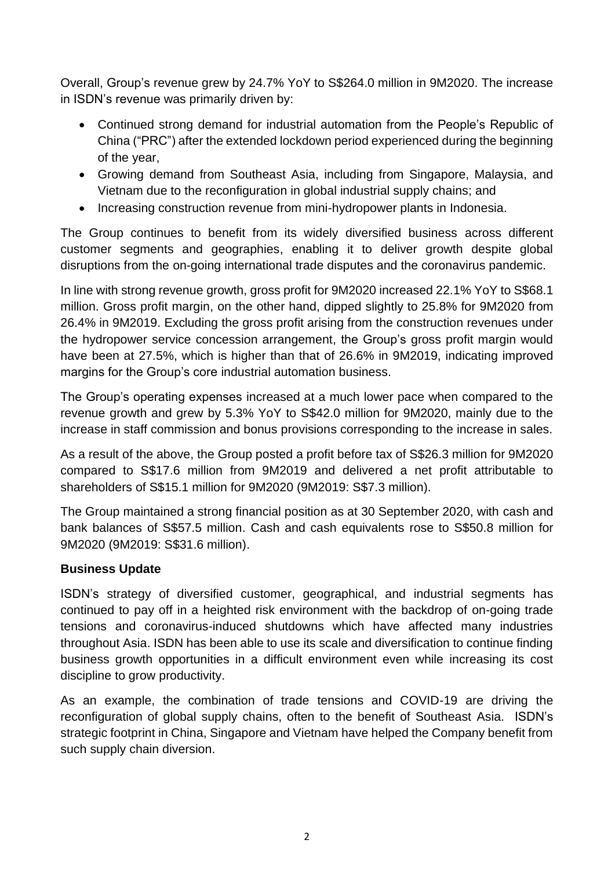Overall, Group's revenue grew by 24.7% YoY to S\$264.0 million in 9M2020. The increase in ISDN's revenue was primarily driven by:

- Continued strong demand for industrial automation from the People's Republic of China ("PRC") after the extended lockdown period experienced during the beginning of the year,
- Growing demand from Southeast Asia, including from Singapore, Malaysia, and Vietnam due to the reconfiguration in global industrial supply chains; and
- Increasing construction revenue from mini-hydropower plants in Indonesia.

The Group continues to benefit from its widely diversified business across different customer segments and geographies, enabling it to deliver growth despite global disruptions from the on-going international trade disputes and the coronavirus pandemic.

In line with strong revenue growth, gross profit for 9M2020 increased 22.1% YoY to S\$68.1 million. Gross profit margin, on the other hand, dipped slightly to 25.8% for 9M2020 from 26.4% in 9M2019. Excluding the gross profit arising from the construction revenues under the hydropower service concession arrangement, the Group's gross profit margin would have been at 27.5%, which is higher than that of 26.6% in 9M2019, indicating improved margins for the Group's core industrial automation business.

The Group's operating expenses increased at a much lower pace when compared to the revenue growth and grew by 5.3% YoY to S\$42.0 million for 9M2020, mainly due to the increase in staff commission and bonus provisions corresponding to the increase in sales.

As a result of the above, the Group posted a profit before tax of S\$26.3 million for 9M2020 compared to S\$17.6 million from 9M2019 and delivered a net profit attributable to shareholders of S\$15.1 million for 9M2020 (9M2019: S\$7.3 million).

The Group maintained a strong financial position as at 30 September 2020, with cash and bank balances of S\$57.5 million. Cash and cash equivalents rose to S\$50.8 million for 9M2020 (9M2019: S\$31.6 million).

## **Business Update**

ISDN's strategy of diversified customer, geographical, and industrial segments has continued to pay off in a heighted risk environment with the backdrop of on-going trade tensions and coronavirus-induced shutdowns which have affected many industries throughout Asia. ISDN has been able to use its scale and diversification to continue finding business growth opportunities in a difficult environment even while increasing its cost discipline to grow productivity.

As an example, the combination of trade tensions and COVID-19 are driving the reconfiguration of global supply chains, often to the benefit of Southeast Asia. ISDN's strategic footprint in China, Singapore and Vietnam have helped the Company benefit from such supply chain diversion.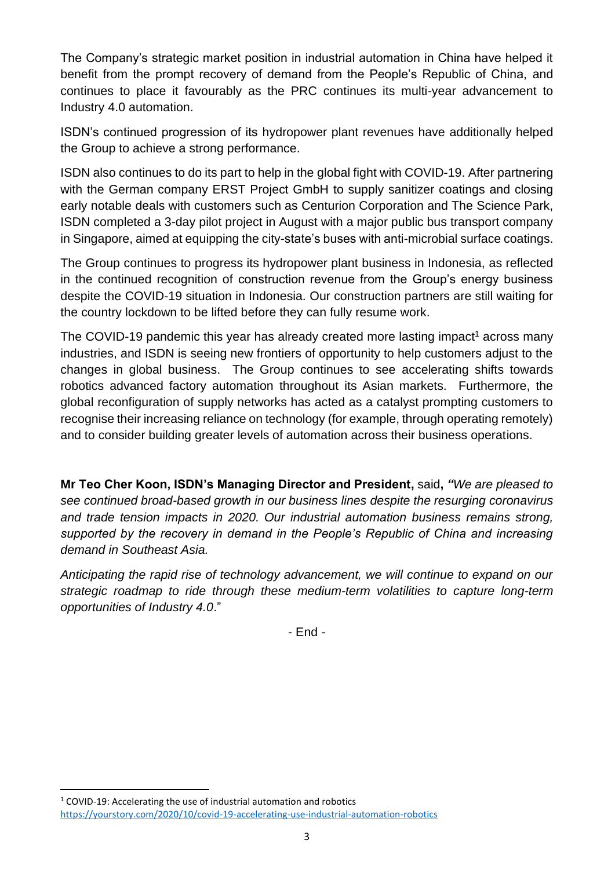The Company's strategic market position in industrial automation in China have helped it benefit from the prompt recovery of demand from the People's Republic of China, and continues to place it favourably as the PRC continues its multi-year advancement to Industry 4.0 automation.

ISDN's continued progression of its hydropower plant revenues have additionally helped the Group to achieve a strong performance.

ISDN also continues to do its part to help in the global fight with COVID-19. After partnering with the German company ERST Project GmbH to supply sanitizer coatings and closing early notable deals with customers such as Centurion Corporation and The Science Park, ISDN completed a 3-day pilot project in August with a major public bus transport company in Singapore, aimed at equipping the city-state's buses with anti-microbial surface coatings.

The Group continues to progress its hydropower plant business in Indonesia, as reflected in the continued recognition of construction revenue from the Group's energy business despite the COVID-19 situation in Indonesia. Our construction partners are still waiting for the country lockdown to be lifted before they can fully resume work.

The COVID-19 pandemic this year has already created more lasting impact<sup>1</sup> across many industries, and ISDN is seeing new frontiers of opportunity to help customers adjust to the changes in global business. The Group continues to see accelerating shifts towards robotics advanced factory automation throughout its Asian markets. Furthermore, the global reconfiguration of supply networks has acted as a catalyst prompting customers to recognise their increasing reliance on technology (for example, through operating remotely) and to consider building greater levels of automation across their business operations.

**Mr Teo Cher Koon, ISDN's Managing Director and President,** said**,** *"We are pleased to see continued broad-based growth in our business lines despite the resurging coronavirus and trade tension impacts in 2020. Our industrial automation business remains strong, supported by the recovery in demand in the People's Republic of China and increasing demand in Southeast Asia.*

*Anticipating the rapid rise of technology advancement, we will continue to expand on our strategic roadmap to ride through these medium-term volatilities to capture long-term opportunities of Industry 4.0*."

- End -

 $1$  COVID-19: Accelerating the use of industrial automation and robotics <https://yourstory.com/2020/10/covid-19-accelerating-use-industrial-automation-robotics>